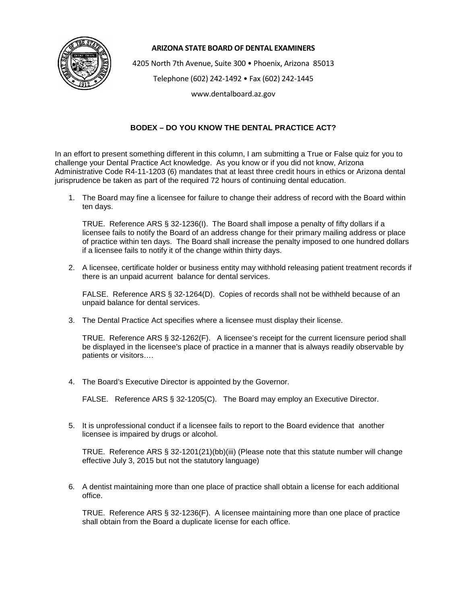

## **ARIZONA STATE BOARD OF DENTAL EXAMINERS**

4205 North 7th Avenue, Suite 300 • Phoenix, Arizona 85013

Telephone (602) 242-1492 • Fax (602) 242-1445

www.dentalboard.az.gov

## **BODEX – DO YOU KNOW THE DENTAL PRACTICE ACT?**

In an effort to present something different in this column, I am submitting a True or False quiz for you to challenge your Dental Practice Act knowledge. As you know or if you did not know, Arizona Administrative Code R4-11-1203 (6) mandates that at least three credit hours in ethics or Arizona dental jurisprudence be taken as part of the required 72 hours of continuing dental education.

1. The Board may fine a licensee for failure to change their address of record with the Board within ten days.

TRUE. Reference ARS § 32-1236(I). The Board shall impose a penalty of fifty dollars if a licensee fails to notify the Board of an address change for their primary mailing address or place of practice within ten days. The Board shall increase the penalty imposed to one hundred dollars if a licensee fails to notify it of the change within thirty days.

2. A licensee, certificate holder or business entity may withhold releasing patient treatment records if there is an unpaid acurrent balance for dental services.

FALSE. Reference ARS § 32-1264(D). Copies of records shall not be withheld because of an unpaid balance for dental services.

3. The Dental Practice Act specifies where a licensee must display their license.

TRUE. Reference ARS § 32-1262(F). A licensee's receipt for the current licensure period shall be displayed in the licensee's place of practice in a manner that is always readily observable by patients or visitors….

4. The Board's Executive Director is appointed by the Governor.

FALSE. Reference ARS § 32-1205(C). The Board may employ an Executive Director.

5. It is unprofessional conduct if a licensee fails to report to the Board evidence that another licensee is impaired by drugs or alcohol.

TRUE. Reference ARS § 32-1201(21)(bb)(iii) (Please note that this statute number will change effective July 3, 2015 but not the statutory language)

6. A dentist maintaining more than one place of practice shall obtain a license for each additional office.

TRUE. Reference ARS § 32-1236(F). A licensee maintaining more than one place of practice shall obtain from the Board a duplicate license for each office.